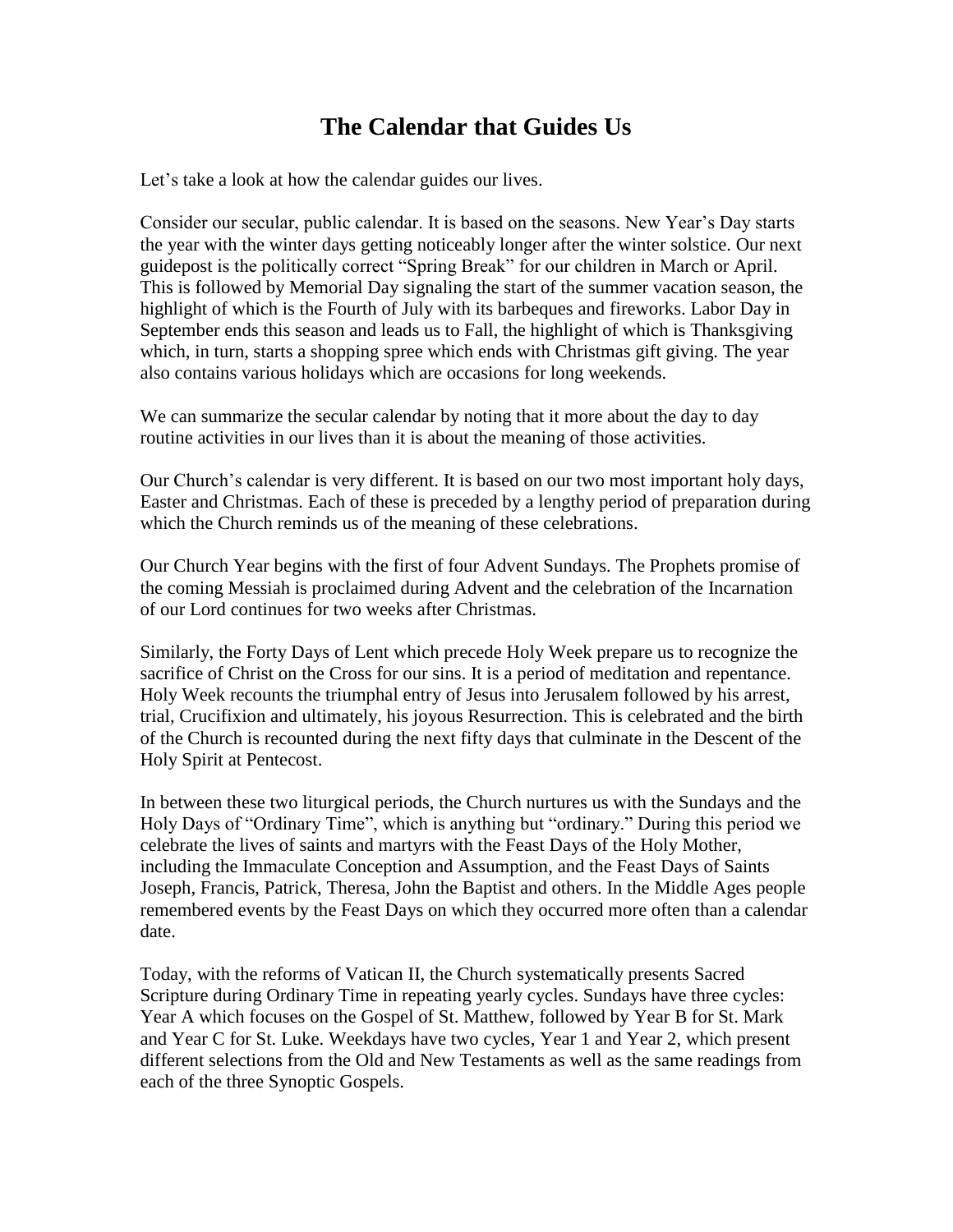## **The Calendar that Guides Us**

Let's take a look at how the calendar guides our lives.

Consider our secular, public calendar. It is based on the seasons. New Year's Day starts the year with the winter days getting noticeably longer after the winter solstice. Our next guidepost is the politically correct "Spring Break" for our children in March or April. This is followed by Memorial Day signaling the start of the summer vacation season, the highlight of which is the Fourth of July with its barbeques and fireworks. Labor Day in September ends this season and leads us to Fall, the highlight of which is Thanksgiving which, in turn, starts a shopping spree which ends with Christmas gift giving. The year also contains various holidays which are occasions for long weekends.

We can summarize the secular calendar by noting that it more about the day to day routine activities in our lives than it is about the meaning of those activities.

Our Church's calendar is very different. It is based on our two most important holy days, Easter and Christmas. Each of these is preceded by a lengthy period of preparation during which the Church reminds us of the meaning of these celebrations.

Our Church Year begins with the first of four Advent Sundays. The Prophets promise of the coming Messiah is proclaimed during Advent and the celebration of the Incarnation of our Lord continues for two weeks after Christmas.

Similarly, the Forty Days of Lent which precede Holy Week prepare us to recognize the sacrifice of Christ on the Cross for our sins. It is a period of meditation and repentance. Holy Week recounts the triumphal entry of Jesus into Jerusalem followed by his arrest, trial, Crucifixion and ultimately, his joyous Resurrection. This is celebrated and the birth of the Church is recounted during the next fifty days that culminate in the Descent of the Holy Spirit at Pentecost.

In between these two liturgical periods, the Church nurtures us with the Sundays and the Holy Days of "Ordinary Time", which is anything but "ordinary." During this period we celebrate the lives of saints and martyrs with the Feast Days of the Holy Mother, including the Immaculate Conception and Assumption, and the Feast Days of Saints Joseph, Francis, Patrick, Theresa, John the Baptist and others. In the Middle Ages people remembered events by the Feast Days on which they occurred more often than a calendar date.

Today, with the reforms of Vatican II, the Church systematically presents Sacred Scripture during Ordinary Time in repeating yearly cycles. Sundays have three cycles: Year A which focuses on the Gospel of St. Matthew, followed by Year B for St. Mark and Year C for St. Luke. Weekdays have two cycles, Year 1 and Year 2, which present different selections from the Old and New Testaments as well as the same readings from each of the three Synoptic Gospels.